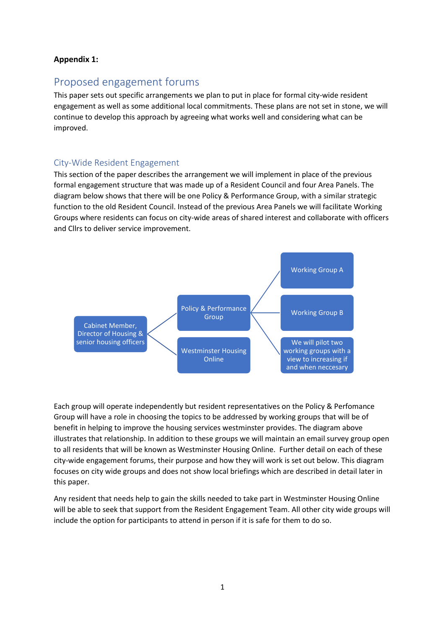#### **Appendix 1:**

# Proposed engagement forums

This paper sets out specific arrangements we plan to put in place for formal city-wide resident engagement as well as some additional local commitments. These plans are not set in stone, we will continue to develop this approach by agreeing what works well and considering what can be improved.

#### City-Wide Resident Engagement

This section of the paper describes the arrangement we will implement in place of the previous formal engagement structure that was made up of a Resident Council and four Area Panels. The diagram below shows that there will be one Policy & Performance Group, with a similar strategic function to the old Resident Council. Instead of the previous Area Panels we will facilitate Working Groups where residents can focus on city-wide areas of shared interest and collaborate with officers and Cllrs to deliver service improvement.



Each group will operate independently but resident representatives on the Policy & Perfomance Group will have a role in choosing the topics to be addressed by working groups that will be of benefit in helping to improve the housing services westminster provides. The diagram above illustrates that relationship. In addition to these groups we will maintain an email survey group open to all residents that will be known as Westminster Housing Online. Further detail on each of these city-wide engagement forums, their purpose and how they will work is set out below. This diagram focuses on city wide groups and does not show local briefings which are described in detail later in this paper.

Any resident that needs help to gain the skills needed to take part in Westminster Housing Online will be able to seek that support from the Resident Engagement Team. All other city wide groups will include the option for participants to attend in person if it is safe for them to do so.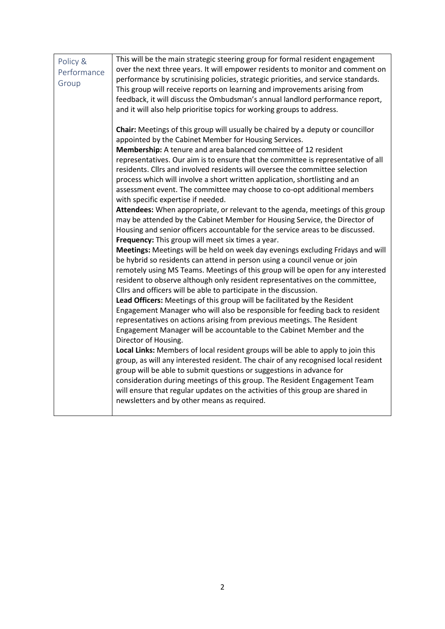| Policy &<br>Performance<br>Group | This will be the main strategic steering group for formal resident engagement<br>over the next three years. It will empower residents to monitor and comment on<br>performance by scrutinising policies, strategic priorities, and service standards.<br>This group will receive reports on learning and improvements arising from<br>feedback, it will discuss the Ombudsman's annual landlord performance report,<br>and it will also help prioritise topics for working groups to address.                                                                                                                                                                                                                                                                                                                                                                                                                                                                                                                                                                                                                                                                                                                                                                                                                                                                                                                                                                                                                                                                                                                                                                                                                                                                                                                                                                                                                                                                                                                                                            |
|----------------------------------|----------------------------------------------------------------------------------------------------------------------------------------------------------------------------------------------------------------------------------------------------------------------------------------------------------------------------------------------------------------------------------------------------------------------------------------------------------------------------------------------------------------------------------------------------------------------------------------------------------------------------------------------------------------------------------------------------------------------------------------------------------------------------------------------------------------------------------------------------------------------------------------------------------------------------------------------------------------------------------------------------------------------------------------------------------------------------------------------------------------------------------------------------------------------------------------------------------------------------------------------------------------------------------------------------------------------------------------------------------------------------------------------------------------------------------------------------------------------------------------------------------------------------------------------------------------------------------------------------------------------------------------------------------------------------------------------------------------------------------------------------------------------------------------------------------------------------------------------------------------------------------------------------------------------------------------------------------------------------------------------------------------------------------------------------------|
|                                  | Chair: Meetings of this group will usually be chaired by a deputy or councillor<br>appointed by the Cabinet Member for Housing Services.<br>Membership: A tenure and area balanced committee of 12 resident<br>representatives. Our aim is to ensure that the committee is representative of all<br>residents. Cllrs and involved residents will oversee the committee selection<br>process which will involve a short written application, shortlisting and an<br>assessment event. The committee may choose to co-opt additional members<br>with specific expertise if needed.<br>Attendees: When appropriate, or relevant to the agenda, meetings of this group<br>may be attended by the Cabinet Member for Housing Service, the Director of<br>Housing and senior officers accountable for the service areas to be discussed.<br>Frequency: This group will meet six times a year.<br>Meetings: Meetings will be held on week day evenings excluding Fridays and will<br>be hybrid so residents can attend in person using a council venue or join<br>remotely using MS Teams. Meetings of this group will be open for any interested<br>resident to observe although only resident representatives on the committee,<br>Cllrs and officers will be able to participate in the discussion.<br>Lead Officers: Meetings of this group will be facilitated by the Resident<br>Engagement Manager who will also be responsible for feeding back to resident<br>representatives on actions arising from previous meetings. The Resident<br>Engagement Manager will be accountable to the Cabinet Member and the<br>Director of Housing.<br>Local Links: Members of local resident groups will be able to apply to join this<br>group, as will any interested resident. The chair of any recognised local resident<br>group will be able to submit questions or suggestions in advance for<br>consideration during meetings of this group. The Resident Engagement Team<br>will ensure that regular updates on the activities of this group are shared in |
|                                  | newsletters and by other means as required.                                                                                                                                                                                                                                                                                                                                                                                                                                                                                                                                                                                                                                                                                                                                                                                                                                                                                                                                                                                                                                                                                                                                                                                                                                                                                                                                                                                                                                                                                                                                                                                                                                                                                                                                                                                                                                                                                                                                                                                                              |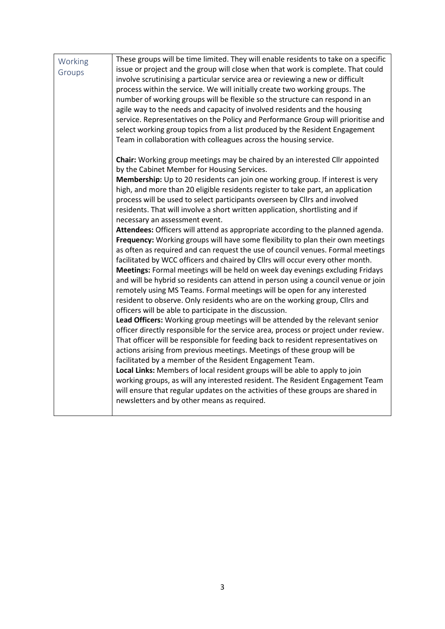| Working | These groups will be time limited. They will enable residents to take on a specific                                                                         |
|---------|-------------------------------------------------------------------------------------------------------------------------------------------------------------|
| Groups  | issue or project and the group will close when that work is complete. That could                                                                            |
|         | involve scrutinising a particular service area or reviewing a new or difficult                                                                              |
|         | process within the service. We will initially create two working groups. The                                                                                |
|         | number of working groups will be flexible so the structure can respond in an                                                                                |
|         | agile way to the needs and capacity of involved residents and the housing                                                                                   |
|         | service. Representatives on the Policy and Performance Group will prioritise and                                                                            |
|         | select working group topics from a list produced by the Resident Engagement                                                                                 |
|         | Team in collaboration with colleagues across the housing service.                                                                                           |
|         | Chair: Working group meetings may be chaired by an interested Cllr appointed                                                                                |
|         | by the Cabinet Member for Housing Services.                                                                                                                 |
|         | Membership: Up to 20 residents can join one working group. If interest is very                                                                              |
|         | high, and more than 20 eligible residents register to take part, an application                                                                             |
|         | process will be used to select participants overseen by Cllrs and involved<br>residents. That will involve a short written application, shortlisting and if |
|         | necessary an assessment event.                                                                                                                              |
|         | Attendees: Officers will attend as appropriate according to the planned agenda.                                                                             |
|         | Frequency: Working groups will have some flexibility to plan their own meetings                                                                             |
|         | as often as required and can request the use of council venues. Formal meetings                                                                             |
|         | facilitated by WCC officers and chaired by Cllrs will occur every other month.                                                                              |
|         | Meetings: Formal meetings will be held on week day evenings excluding Fridays                                                                               |
|         | and will be hybrid so residents can attend in person using a council venue or join                                                                          |
|         | remotely using MS Teams. Formal meetings will be open for any interested                                                                                    |
|         | resident to observe. Only residents who are on the working group, Cllrs and                                                                                 |
|         | officers will be able to participate in the discussion.                                                                                                     |
|         | Lead Officers: Working group meetings will be attended by the relevant senior                                                                               |
|         | officer directly responsible for the service area, process or project under review.                                                                         |
|         | That officer will be responsible for feeding back to resident representatives on                                                                            |
|         | actions arising from previous meetings. Meetings of these group will be                                                                                     |
|         | facilitated by a member of the Resident Engagement Team.                                                                                                    |
|         | Local Links: Members of local resident groups will be able to apply to join                                                                                 |
|         | working groups, as will any interested resident. The Resident Engagement Team                                                                               |
|         | will ensure that regular updates on the activities of these groups are shared in                                                                            |
|         | newsletters and by other means as required.                                                                                                                 |
|         |                                                                                                                                                             |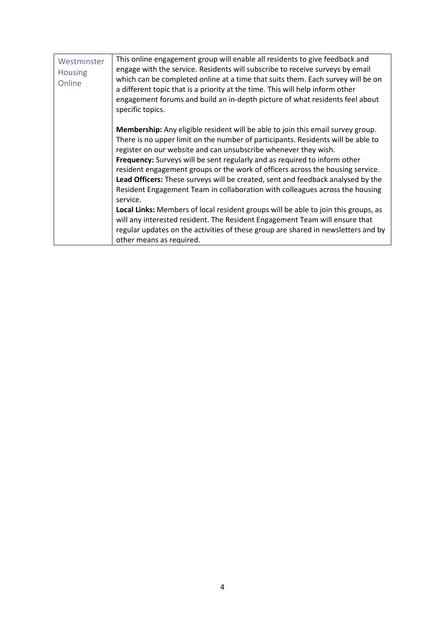| Westminster<br>Housing<br>Online | This online engagement group will enable all residents to give feedback and<br>engage with the service. Residents will subscribe to receive surveys by email<br>which can be completed online at a time that suits them. Each survey will be on<br>a different topic that is a priority at the time. This will help inform other<br>engagement forums and build an in-depth picture of what residents feel about<br>specific topics.                                                                                                                                                                                                                                                                                                                                                                                                                                              |
|----------------------------------|-----------------------------------------------------------------------------------------------------------------------------------------------------------------------------------------------------------------------------------------------------------------------------------------------------------------------------------------------------------------------------------------------------------------------------------------------------------------------------------------------------------------------------------------------------------------------------------------------------------------------------------------------------------------------------------------------------------------------------------------------------------------------------------------------------------------------------------------------------------------------------------|
|                                  | <b>Membership:</b> Any eligible resident will be able to join this email survey group.<br>There is no upper limit on the number of participants. Residents will be able to<br>register on our website and can unsubscribe whenever they wish.<br>Frequency: Surveys will be sent regularly and as required to inform other<br>resident engagement groups or the work of officers across the housing service.<br>Lead Officers: These surveys will be created, sent and feedback analysed by the<br>Resident Engagement Team in collaboration with colleagues across the housing<br>service.<br>Local Links: Members of local resident groups will be able to join this groups, as<br>will any interested resident. The Resident Engagement Team will ensure that<br>regular updates on the activities of these group are shared in newsletters and by<br>other means as required. |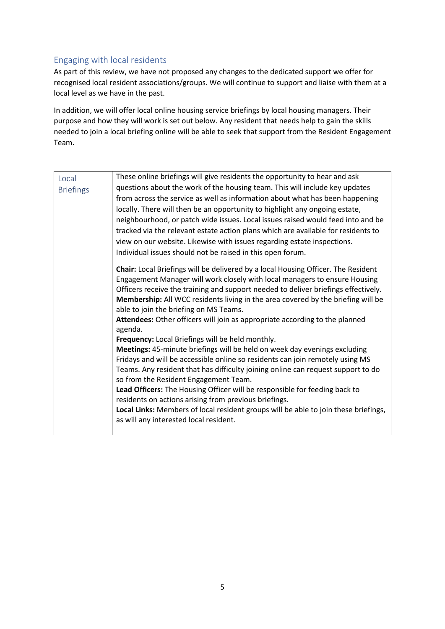### Engaging with local residents

As part of this review, we have not proposed any changes to the dedicated support we offer for recognised local resident associations/groups. We will continue to support and liaise with them at a local level as we have in the past.

In addition, we will offer local online housing service briefings by local housing managers. Their purpose and how they will work is set out below. Any resident that needs help to gain the skills needed to join a local briefing online will be able to seek that support from the Resident Engagement Team.

| Local            | These online briefings will give residents the opportunity to hear and ask             |
|------------------|----------------------------------------------------------------------------------------|
| <b>Briefings</b> | questions about the work of the housing team. This will include key updates            |
|                  | from across the service as well as information about what has been happening           |
|                  | locally. There will then be an opportunity to highlight any ongoing estate,            |
|                  | neighbourhood, or patch wide issues. Local issues raised would feed into and be        |
|                  | tracked via the relevant estate action plans which are available for residents to      |
|                  | view on our website. Likewise with issues regarding estate inspections.                |
|                  | Individual issues should not be raised in this open forum.                             |
|                  | Chair: Local Briefings will be delivered by a local Housing Officer. The Resident      |
|                  | Engagement Manager will work closely with local managers to ensure Housing             |
|                  | Officers receive the training and support needed to deliver briefings effectively.     |
|                  | Membership: All WCC residents living in the area covered by the briefing will be       |
|                  | able to join the briefing on MS Teams.                                                 |
|                  | Attendees: Other officers will join as appropriate according to the planned<br>agenda. |
|                  | Frequency: Local Briefings will be held monthly.                                       |
|                  | Meetings: 45-minute briefings will be held on week day evenings excluding              |
|                  | Fridays and will be accessible online so residents can join remotely using MS          |
|                  | Teams. Any resident that has difficulty joining online can request support to do       |
|                  | so from the Resident Engagement Team.                                                  |
|                  | Lead Officers: The Housing Officer will be responsible for feeding back to             |
|                  | residents on actions arising from previous briefings.                                  |
|                  | Local Links: Members of local resident groups will be able to join these briefings,    |
|                  | as will any interested local resident.                                                 |
|                  |                                                                                        |